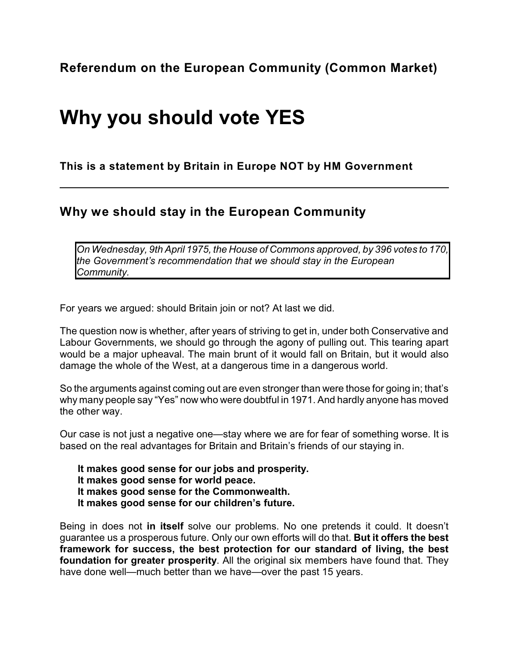## **Referendum on the European Community (Common Market)**

# **Why you should vote YES**

**This is a statement by Britain in Europe NOT by HM Government**

### **Why we should stay in the European Community**

*On Wednesday, 9th April 1975, the House of Commons approved, by 396 votes to 170, the Government's recommendation that we should stay in the European Community.*

For years we argued: should Britain join or not? At last we did.

The question now is whether, after years of striving to get in, under both Conservative and Labour Governments, we should go through the agony of pulling out. This tearing apart would be a major upheaval. The main brunt of it would fall on Britain, but it would also damage the whole of the West, at a dangerous time in a dangerous world.

So the arguments against coming out are even stronger than were those for going in; that's why many people say "Yes" now who were doubtful in 1971. And hardly anyone has moved the other way.

Our case is not just a negative one—stay where we are for fear of something worse. It is based on the real advantages for Britain and Britain's friends of our staying in.

**It makes good sense for our jobs and prosperity. It makes good sense for world peace. It makes good sense for the Commonwealth. It makes good sense for our children's future.**

Being in does not **in itself** solve our problems. No one pretends it could. It doesn't guarantee us a prosperous future. Only our own efforts will do that. **But it offers the best framework for success, the best protection for our standard of living, the best foundation for greater prosperity**. All the original six members have found that. They have done well—much better than we have—over the past 15 years.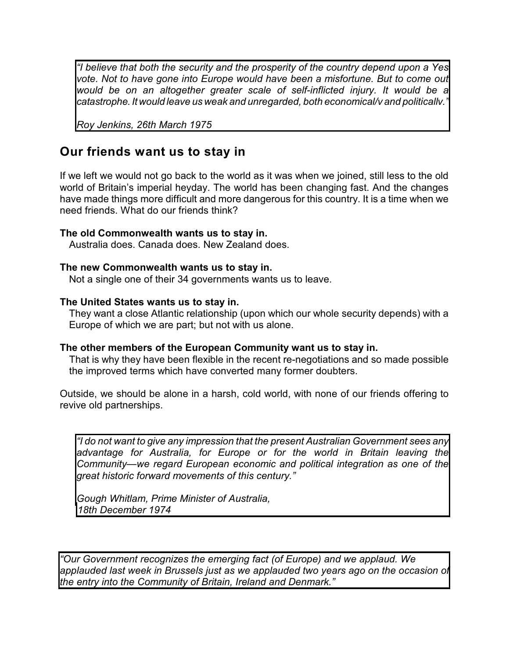*"I believe that both the security and the prosperity of the country depend upon a Yes vote. Not to have gone into Europe would have been a misfortune. But to come out would be on an altogether greater scale of self-inflicted injury. It would be a catastrophe. Itwould leave us weak and unregarded, both economical/v and politicallv."*

*Roy Jenkins, 26th March 1975*

### **Our friends want us to stay in**

If we left we would not go back to the world as it was when we joined, still less to the old world of Britain's imperial heyday. The world has been changing fast. And the changes have made things more difficult and more dangerous for this country. It is a time when we need friends. What do our friends think?

#### **The old Commonwealth wants us to stay in.**

Australia does. Canada does. New Zealand does.

#### **The new Commonwealth wants us to stay in.**

Not a single one of their 34 governments wants us to leave.

#### **The United States wants us to stay in.**

They want a close Atlantic relationship (upon which our whole security depends) with a Europe of which we are part; but not with us alone.

#### **The other members of the European Community want us to stay in.**

That is why they have been flexible in the recent re-negotiations and so made possible the improved terms which have converted many former doubters.

Outside, we should be alone in a harsh, cold world, with none of our friends offering to revive old partnerships.

*"I do not want to give any impression that the present Australian Government sees any advantage for Australia, for Europe or for the world in Britain leaving the Community—we regard European economic and political integration as one of the great historic forward movements of this century."*

*Gough Whitlam, Prime Minister of Australia, 18th December 1974*

*"Our Government recognizes the emerging fact (of Europe) and we applaud. We applauded last week in Brussels just as we applauded two years ago on the occasion of the entry into the Community of Britain, Ireland and Denmark."*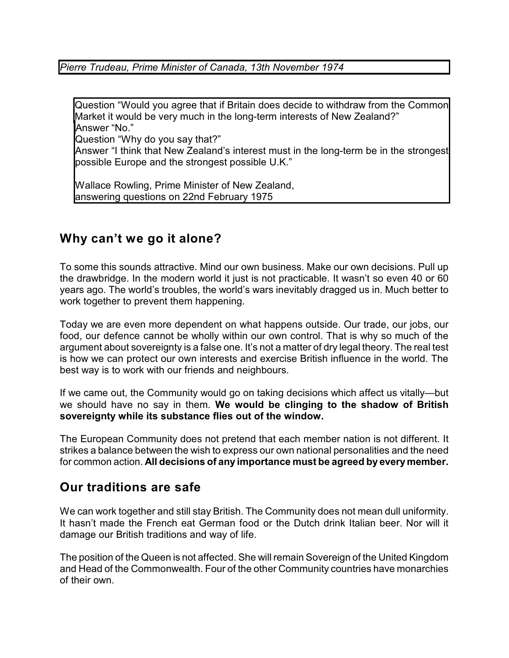*Pierre Trudeau, Prime Minister of Canada, 13th November 1974*

Question "Would you agree that if Britain does decide to withdraw from the Common Market it would be very much in the long-term interests of New Zealand?" Answer "No."

Question "Why do you say that?"

Answer "I think that New Zealand's interest must in the long-term be in the strongest possible Europe and the strongest possible U.K."

Wallace Rowling, Prime Minister of New Zealand, answering questions on 22nd February 1975

### **Why can't we go it alone?**

To some this sounds attractive. Mind our own business. Make our own decisions. Pull up the drawbridge. In the modern world it just is not practicable. It wasn't so even 40 or 60 years ago. The world's troubles, the world's wars inevitably dragged us in. Much better to work together to prevent them happening.

Today we are even more dependent on what happens outside. Our trade, our jobs, our food, our defence cannot be wholly within our own control. That is why so much of the argument about sovereignty is a false one. It's not a matter of dry legal theory. The real test is how we can protect our own interests and exercise British influence in the world. The best way is to work with our friends and neighbours.

If we came out, the Community would go on taking decisions which affect us vitally—but we should have no say in them. **We would be clinging to the shadow of British sovereignty while its substance flies out of the window.**

The European Community does not pretend that each member nation is not different. It strikes a balance between the wish to express our own national personalities and the need for common action. **All decisions of any importance must be agreed by every member.**

### **Our traditions are safe**

We can work together and still stay British. The Community does not mean dull uniformity. It hasn't made the French eat German food or the Dutch drink Italian beer. Nor will it damage our British traditions and way of life.

The position of the Queen is not affected. She will remain Sovereign of the United Kingdom and Head of the Commonwealth. Four of the other Community countries have monarchies of their own.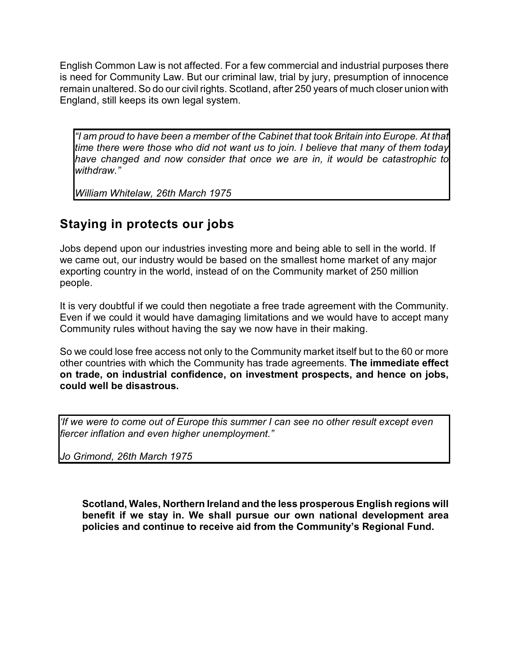English Common Law is not affected. For a few commercial and industrial purposes there is need for Community Law. But our criminal law, trial by jury, presumption of innocence remain unaltered. So do our civil rights. Scotland, after 250 years of much closer union with England, still keeps its own legal system.

*"I am proud to have been a member of the Cabinet that took Britain into Europe. At that time there were those who did not want us to join. I believe that many of them today have changed and now consider that once we are in, it would be catastrophic to withdraw."*

*William Whitelaw, 26th March 1975*

# **Staying in protects our jobs**

Jobs depend upon our industries investing more and being able to sell in the world. If we came out, our industry would be based on the smallest home market of any major exporting country in the world, instead of on the Community market of 250 million people.

It is very doubtful if we could then negotiate a free trade agreement with the Community. Even if we could it would have damaging limitations and we would have to accept many Community rules without having the say we now have in their making.

So we could lose free access not only to the Community market itself but to the 60 or more other countries with which the Community has trade agreements. **The immediate effect on trade, on industrial confidence, on investment prospects, and hence on jobs, could well be disastrous.**

*'If we were to come out of Europe this summer I can see no other result except even fiercer inflation and even higher unemployment."*

*Jo Grimond, 26th March 1975*

**Scotland, Wales, Northern Ireland and the less prosperous English regions will benefit if we stay in. We shall pursue our own national development area policies and continue to receive aid from the Community's Regional Fund.**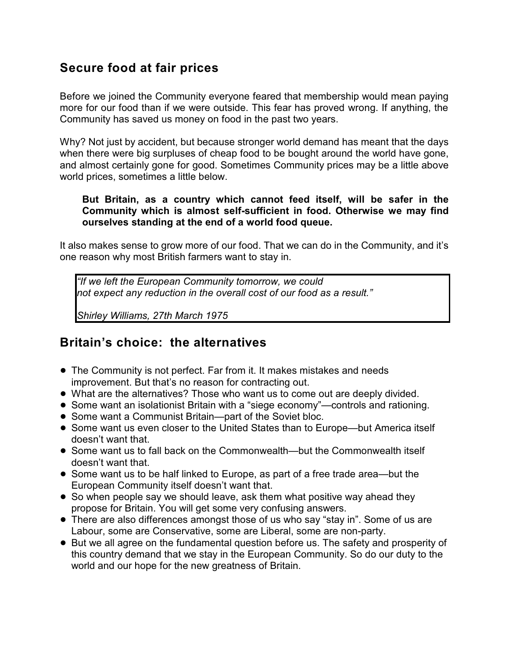# **Secure food at fair prices**

Before we joined the Community everyone feared that membership would mean paying more for our food than if we were outside. This fear has proved wrong. If anything, the Community has saved us money on food in the past two years.

Why? Not just by accident, but because stronger world demand has meant that the days when there were big surpluses of cheap food to be bought around the world have gone, and almost certainly gone for good. Sometimes Community prices may be a little above world prices, sometimes a little below.

**But Britain, as a country which cannot feed itself, will be safer in the Community which is almost self-sufficient in food. Otherwise we may find ourselves standing at the end of a world food queue.**

It also makes sense to grow more of our food. That we can do in the Community, and it's one reason why most British farmers want to stay in.

*"If we left the European Community tomorrow, we could not expect any reduction in the overall cost of our food as a result."*

*Shirley Williams, 27th March 1975*

### **Britain's choice: the alternatives**

- The Community is not perfect. Far from it. It makes mistakes and needs improvement. But that's no reason for contracting out.
- What are the alternatives? Those who want us to come out are deeply divided.
- ! Some want an isolationist Britain with a "siege economy"—controls and rationing.
- ! Some want a Communist Britain—part of the Soviet bloc.
- ! Some want us even closer to the United States than to Europe—but America itself doesn't want that.
- ! Some want us to fall back on the Commonwealth—but the Commonwealth itself doesn't want that.
- Some want us to be half linked to Europe, as part of a free trade area—but the European Community itself doesn't want that.
- So when people say we should leave, ask them what positive way ahead they propose for Britain. You will get some very confusing answers.
- There are also differences amongst those of us who say "stay in". Some of us are Labour, some are Conservative, some are Liberal, some are non-party.
- But we all agree on the fundamental question before us. The safety and prosperity of this country demand that we stay in the European Community. So do our duty to the world and our hope for the new greatness of Britain.